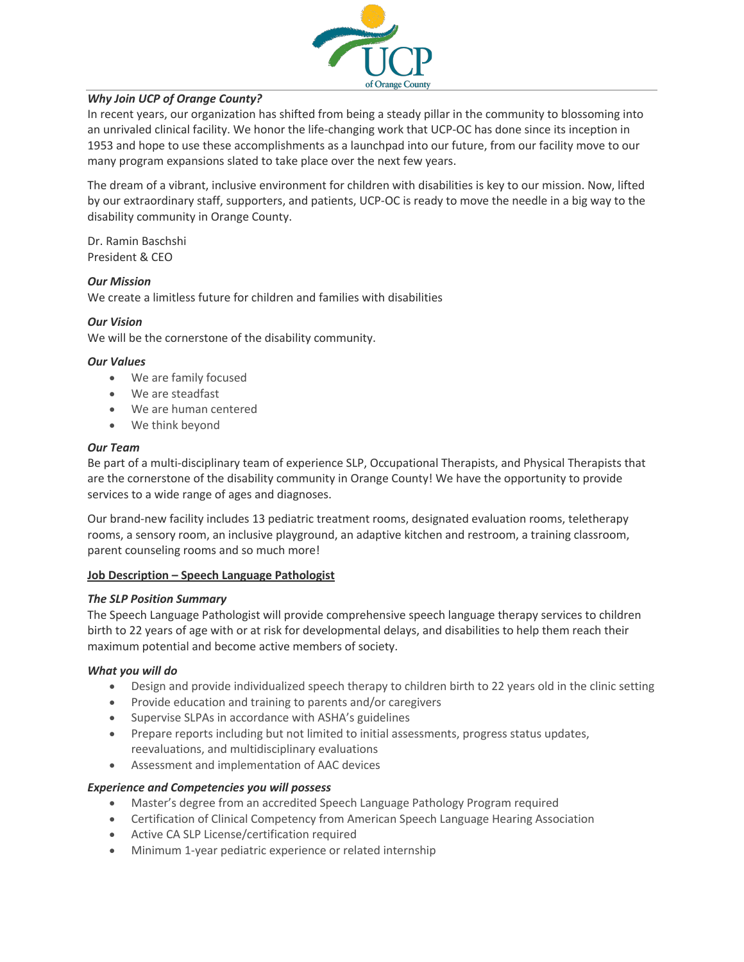

# *Why Join UCP of Orange County?*

In recent years, our organization has shifted from being a steady pillar in the community to blossoming into an unrivaled clinical facility. We honor the life-changing work that UCP-OC has done since its inception in 1953 and hope to use these accomplishments as a launchpad into our future, from our facility move to our many program expansions slated to take place over the next few years.

The dream of a vibrant, inclusive environment for children with disabilities is key to our mission. Now, lifted by our extraordinary staff, supporters, and patients, UCP-OC is ready to move the needle in a big way to the disability community in Orange County.

Dr. Ramin Baschshi President & CEO

## *Our Mission*

We create a limitless future for children and families with disabilities

## *Our Vision*

We will be the cornerstone of the disability community.

#### *Our Values*

- We are family focused
- We are steadfast
- We are human centered
- We think beyond

#### *Our Team*

Be part of a multi-disciplinary team of experience SLP, Occupational Therapists, and Physical Therapists that are the cornerstone of the disability community in Orange County! We have the opportunity to provide services to a wide range of ages and diagnoses.

Our brand-new facility includes 13 pediatric treatment rooms, designated evaluation rooms, teletherapy rooms, a sensory room, an inclusive playground, an adaptive kitchen and restroom, a training classroom, parent counseling rooms and so much more!

## **Job Description – Speech Language Pathologist**

## *The SLP Position Summary*

The Speech Language Pathologist will provide comprehensive speech language therapy services to children birth to 22 years of age with or at risk for developmental delays, and disabilities to help them reach their maximum potential and become active members of society.

## *What you will do*

- Design and provide individualized speech therapy to children birth to 22 years old in the clinic setting
- Provide education and training to parents and/or caregivers
- Supervise SLPAs in accordance with ASHA's guidelines
- Prepare reports including but not limited to initial assessments, progress status updates, reevaluations, and multidisciplinary evaluations
- Assessment and implementation of AAC devices

## *Experience and Competencies you will possess*

- Master's degree from an accredited Speech Language Pathology Program required
- Certification of Clinical Competency from American Speech Language Hearing Association
- Active CA SLP License/certification required
- Minimum 1-year pediatric experience or related internship